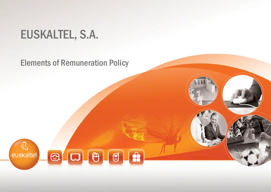## EUSKALTEL, S.A.

## Elements of Remuneration Policy

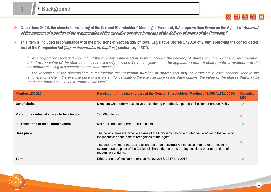euskaltel

▶ On 27 June 2016, the shareholders acting at the General Shareholders' Meeting of Euskaltel, S.A. approve item Seven on the Agenda: "Approval of the payment of a portion of the remuneration of the executive directors by means of the delivery of shares of the Company."

 $\triangleright$  This item is included in compliance with the provisions of Section 219 of Royal Legislative Decree 1/2010 of 2 July, approving the consolidated text of the Companies Act (Ley de Sociedades de Capital) (hereinafter, "LSC"):

"1. At a corporation (sociedad anónima), if the director remuneration system includes the delivery of shares or share options, or remuneration linked to the value of the shares, it must be expressly provided for in the bylaws, and the application thereof shall require a resolution of the *shareholders acting at a general shareholders' meeting.*

2. The resolution of the shareholders must include the maximum number of shares that may be assigned in each financial vear to this remuneration system, the exercise price or the system for calculating the exercise price of the share options, the **value of the shares that may be** *used as a reference and the duration of the plan.*"

| <b>Mention LSC 219</b>                      | Resolution of the shareholders at the General Shareholders' Meeting of EUSKALTEL 2016:                                                                                                                                       | <b>Complies</b><br><b>LSC</b> |
|---------------------------------------------|------------------------------------------------------------------------------------------------------------------------------------------------------------------------------------------------------------------------------|-------------------------------|
| <b>Beneficiaries</b>                        | Directors who perform executive duties during the effective period of the Remuneration Policy                                                                                                                                |                               |
| Maximum number of shares to be allocated    | 180,000 shares                                                                                                                                                                                                               |                               |
| <b>Exercise price or calculation system</b> | Not applicable (as there are no options)                                                                                                                                                                                     |                               |
| <b>Base price</b>                           | The beneficiaries will receive shares of the Company having a quoted value equal to the value of<br>the incentive on the date of recognition of the rights.                                                                  |                               |
|                                             | The quoted value of the Euskaltel shares to be delivered will be calculated by reference to the<br>average quoted price of the Euskaltel shares during the 5 trading sessions prior to the date of<br>recognition of rights. |                               |
| Term                                        | Effectiveness of the Remuneration Policy: 2016, 2017 and 2018                                                                                                                                                                |                               |

ഒ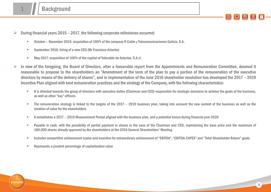- During financial years 2015 2017, the following corporate milestones occurred:
	- October November 2015: acquisition of 100% of the company R Cable yTelecomunicaciones Galicia, S.A.
	- **September 2016: hiring of a new CEO (Mr Francisco Arteche)**
	- May 2017: acquisition of 100% of the capital of Telecable de Asturias, S.A.U.
- In view of the foregoing, the Board of Directors, after a favourable report from the Appointments and Remuneration Committee, deemed it reasonable to propose to the shareholders an "Amendment of the term of the plan to pay a portion of the remuneration of the executive directors by means of the delivery of shares", and in implementation of the June 2016 shareholder resolution has developed the 2017 – 2019 Incentive Plan aligned with best remuneration practices and the strategy of the Company, with the following characteristics:
	- It is directed towards the group of directors with executive duties (Chairman and CEO) responsible for strategic decisions to achieve the goals of the business, as well as other "key" officers
	- The remuneration strategy is linked to the targets of the 2017 2019 business plan, taking into account the new context of the business as well as the creation of value for the shareholders
	- It establishes a 2017 2019 Measurement Period aligned with the business plan, and a potential bonus during financialyear 2020
	- **Payable in cash, with the possibility of partial payment in shares in the case of the Chairman and CEO, maintaining the base price and the maximum of** 180,000 shares already approved by the shareholders at the 2016 General Shareholders' Meeting
	- **Includes competitive achievement scales and incentive for extraordinary achievement of "EBITDA", "EBITDA-CAPEX" and "Total Shareholder Return" goals**
	- **Represents a prudent percentage of capitalisation value**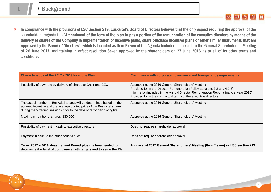euskaltel

 In compliance with the provisions of LSC Section 219, Euskaltel's Board of Directors believes that the only aspect requiring the approval of the shareholders regards the "Amendment of the term of the plan to pay a portion of the remuneration of the executive directors by means of the delivery of shares of the Company in implementation of incentive plans, share purchase incentive plans or other similar instruments that are approved by the Board of Directors", which is included as item Eleven of the Agenda included in the call to the General Shareholders' Meeting of 26 June 2017, maintaining in effect resolution Seven approved by the shareholders on 27 June 2016 as to all of its other terms and conditions.

| Characteristics of the 2017 – 2019 Incentive Plan                                                                                                                                                                           | Compliance with corporate governance and transparency requirements                                                                                                                                                                                                                           |
|-----------------------------------------------------------------------------------------------------------------------------------------------------------------------------------------------------------------------------|----------------------------------------------------------------------------------------------------------------------------------------------------------------------------------------------------------------------------------------------------------------------------------------------|
| Possibility of payment by delivery of shares to Chair and CEO                                                                                                                                                               | Approved at the 2016 General Shareholders' Meeting<br>Provided for in the Director Remuneration Policy (sections 2.3 and 4.2.2)<br>Information included in the Annual Director Remuneration Report (financial year 2016)<br>Provided for in the contractual terms of the executive directors |
| The actual number of Euskaltel shares will be determined based on the<br>accrued incentive and the average quoted price of the Euskaltel shares<br>during the 5 trading sessions prior to the date of recognition of rights | Approved at the 2016 General Shareholders' Meeting                                                                                                                                                                                                                                           |
| Maximum number of shares: 180,000                                                                                                                                                                                           | Approved at the 2016 General Shareholders' Meeting                                                                                                                                                                                                                                           |
| Possibility of payment in cash to executive directors                                                                                                                                                                       | Does not require shareholder approval                                                                                                                                                                                                                                                        |
| Payment in cash to the other beneficiaries                                                                                                                                                                                  | Does not require shareholder approval                                                                                                                                                                                                                                                        |
| Term: 2017 - 2019 Measurement Period plus the time needed to<br>determine the level of compliance with targets and to settle the Plan                                                                                       | Approval at 2017 General Shareholders' Meeting (Item Eleven) ex LSC section 219                                                                                                                                                                                                              |

 $\circledR$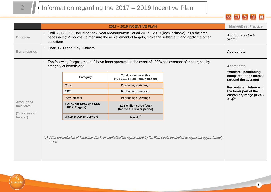$\mathbb{Q}$ euskaltel

|  |  |  |  | $-$ 3 $\boxed{0}$ 3 $\boxed{0}$ |  |  |
|--|--|--|--|---------------------------------|--|--|
|--|--|--|--|---------------------------------|--|--|

|                                                           | <b>2017 - 2019 INCENTIVE PLAN</b>                                                                                                                                                                                               |                                |                                                                                                       | <b>Market/Best Practice</b>                                                                                                       |                                                                                                                                             |
|-----------------------------------------------------------|---------------------------------------------------------------------------------------------------------------------------------------------------------------------------------------------------------------------------------|--------------------------------|-------------------------------------------------------------------------------------------------------|-----------------------------------------------------------------------------------------------------------------------------------|---------------------------------------------------------------------------------------------------------------------------------------------|
| <b>Duration</b>                                           | • Until 31.12.2020, including the 3-year Measurement Period 2017 - 2019 (both inclusive), plus the time<br>necessary (12 months) to measure the achievement of targets, make the settlement, and apply the other<br>conditions. |                                |                                                                                                       | Appropriate (3 - 4<br>years)                                                                                                      |                                                                                                                                             |
| <b>Beneficiaries</b>                                      | $\bullet$                                                                                                                                                                                                                       | Chair, CEO and "key" Officers. |                                                                                                       |                                                                                                                                   | Appropriate                                                                                                                                 |
|                                                           | $\bullet$                                                                                                                                                                                                                       | category of beneficiary:       | The following "target amounts" have been approved in the event of 100% achievement of the targets, by |                                                                                                                                   | Appropriate<br>"Austere" positioning                                                                                                        |
| Amount of<br><b>Incentive</b><br>("concession<br>levels") | Chair<br>CEO<br>"Key" officers<br>(100% Targets)                                                                                                                                                                                | Category                       | <b>Total target incentive</b><br>(% x 2017 Fixed Remuneration)                                        |                                                                                                                                   | compared to the market<br>(around the average)<br>Percentage dilution is in<br>the lower part of the<br>customary range (0.2% -<br>$3\%/1)$ |
|                                                           |                                                                                                                                                                                                                                 |                                | <b>Positioning at Average</b>                                                                         |                                                                                                                                   |                                                                                                                                             |
|                                                           |                                                                                                                                                                                                                                 |                                | Positioning at Average                                                                                |                                                                                                                                   |                                                                                                                                             |
|                                                           |                                                                                                                                                                                                                                 |                                | <b>Positioning at Average</b>                                                                         |                                                                                                                                   |                                                                                                                                             |
|                                                           |                                                                                                                                                                                                                                 | <b>TOTAL for Chair and CEO</b> | 1.74 million euros (est.)<br>(for the full 3-year period)                                             |                                                                                                                                   |                                                                                                                                             |
|                                                           |                                                                                                                                                                                                                                 | % Capitalisation (April'17)    | $0.12\%/11}$                                                                                          |                                                                                                                                   |                                                                                                                                             |
|                                                           | $0.1\%$ .                                                                                                                                                                                                                       |                                |                                                                                                       | (1) After the inclusion of Telecable, the % of capitalisation represented by the Plan would be diluted to represent approximately |                                                                                                                                             |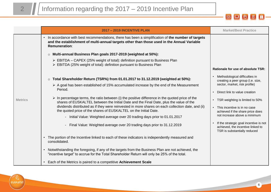



|                | <b>2017 - 2019 INCENTIVE PLAN</b>                                                                                                                                                                                                                                                                                                                                                                                                                                                                                                                                                                                                                                                                                                                                                | <b>Market/Best Practice</b>                                                                                                                                                                                                                                                                                                                                                  |
|----------------|----------------------------------------------------------------------------------------------------------------------------------------------------------------------------------------------------------------------------------------------------------------------------------------------------------------------------------------------------------------------------------------------------------------------------------------------------------------------------------------------------------------------------------------------------------------------------------------------------------------------------------------------------------------------------------------------------------------------------------------------------------------------------------|------------------------------------------------------------------------------------------------------------------------------------------------------------------------------------------------------------------------------------------------------------------------------------------------------------------------------------------------------------------------------|
|                | • In accordance with best recommendations, there has been a simplification of the number of targets<br>and the establishment of multi-annual targets other than those used in the Annual Variable<br><b>Remuneration:</b>                                                                                                                                                                                                                                                                                                                                                                                                                                                                                                                                                        |                                                                                                                                                                                                                                                                                                                                                                              |
|                | o Multi-annual Business Plan goals 2017-2019 (weighted at 50%):                                                                                                                                                                                                                                                                                                                                                                                                                                                                                                                                                                                                                                                                                                                  |                                                                                                                                                                                                                                                                                                                                                                              |
|                | > EBITDA – CAPEX (25% weight of total): definition pursuant to Business Plan<br>> EBITDA (25% weight of total): definition pursuant to Business Plan                                                                                                                                                                                                                                                                                                                                                                                                                                                                                                                                                                                                                             |                                                                                                                                                                                                                                                                                                                                                                              |
|                |                                                                                                                                                                                                                                                                                                                                                                                                                                                                                                                                                                                                                                                                                                                                                                                  | Rationale for use of absolute TSR:                                                                                                                                                                                                                                                                                                                                           |
| <b>Metrics</b> | ○ Total Shareholder Return (TSR%) from 01.01.2017 to 31.12.2019 (weighted at 50%):<br>$\triangleright$ A goal has been established of 15% accumulated increase by the end of the Measurement<br>Period.<br>$\triangleright$ In percentage terms, the ratio between (i) the positive difference in the quoted price of the<br>shares of EUSKALTEL between the Initial Date and the Final Date, plus the value of the<br>dividends distributed as if they were reinvested in more shares on each collection date, and (ii)<br>the quoted price of the shares of EUSKALTEL on the Initial Date.<br>- Initial Value: Weighted average over 20 trading days prior to 01.01.2017<br>Final Value: Weighted average over 20 trading days prior to 31.12.2019<br>$\overline{\phantom{0}}$ | Methodological difficulties in<br>creating a peer group (i.e. size,<br>sector, market, risk profile)<br>Direct link to value creation<br>$\bullet$<br>• TSR weighting is limited to 50%<br>• This incentive is in no case<br>achieved if the share price does<br>not increase above a minimum<br>If the strategic goal incentive is not<br>achieved, the incentive linked to |
|                | • The portion of the Incentive linked to each of these indicators is independently measured and<br>consolidated.                                                                                                                                                                                                                                                                                                                                                                                                                                                                                                                                                                                                                                                                 | TSR is substantially reduced                                                                                                                                                                                                                                                                                                                                                 |
|                | Notwithstanding the foregoing, if any of the targets from the Business Plan are not achieved, the<br>$\bullet$<br>"incentive target" to accrue for the Total Shareholder Return will only be 25% of the total.                                                                                                                                                                                                                                                                                                                                                                                                                                                                                                                                                                   |                                                                                                                                                                                                                                                                                                                                                                              |
|                | • Each of the Metrics is paired to a competitive Achievement Scale                                                                                                                                                                                                                                                                                                                                                                                                                                                                                                                                                                                                                                                                                                               |                                                                                                                                                                                                                                                                                                                                                                              |